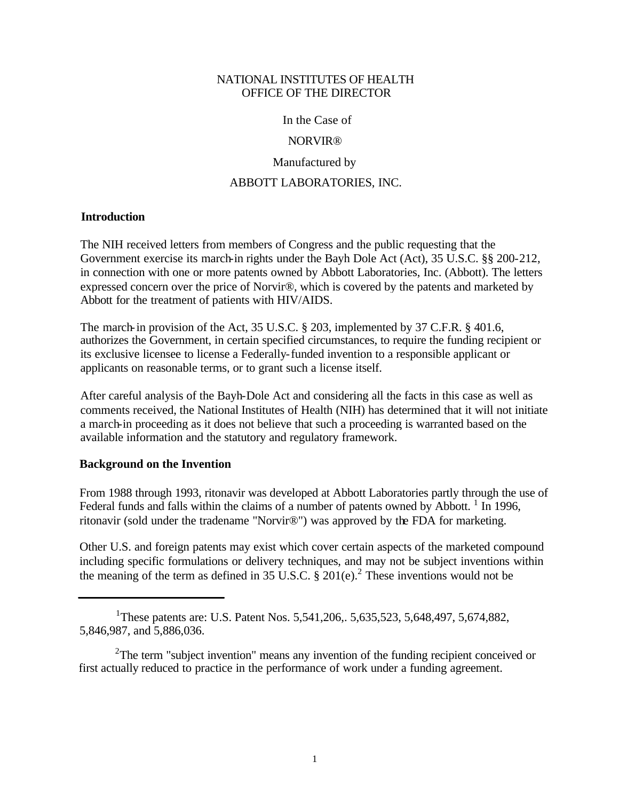#### NATIONAL INSTITUTES OF HEALTH OFFICE OF THE DIRECTOR

In the Case of

#### NORVIR®

Manufactured by

#### ABBOTT LABORATORIES, INC.

#### **Introduction**

The NIH received letters from members of Congress and the public requesting that the Government exercise its march-in rights under the Bayh Dole Act (Act), 35 U.S.C. §§ 200-212, in connection with one or more patents owned by Abbott Laboratories, Inc. (Abbott). The letters expressed concern over the price of Norvir®, which is covered by the patents and marketed by Abbott for the treatment of patients with HIV/AIDS.

The march-in provision of the Act, 35 U.S.C. § 203, implemented by 37 C.F.R. § 401.6, authorizes the Government, in certain specified circumstances, to require the funding recipient or its exclusive licensee to license a Federally-funded invention to a responsible applicant or applicants on reasonable terms, or to grant such a license itself.

After careful analysis of the Bayh-Dole Act and considering all the facts in this case as well as comments received, the National Institutes of Health (NIH) has determined that it will not initiate a march-in proceeding as it does not believe that such a proceeding is warranted based on the available information and the statutory and regulatory framework.

#### **Background on the Invention**

From 1988 through 1993, ritonavir was developed at Abbott Laboratories partly through the use of Federal funds and falls within the claims of a number of patents owned by Abbott.<sup>1</sup> In 1996, ritonavir (sold under the tradename "Norvir®") was approved by the FDA for marketing.

Other U.S. and foreign patents may exist which cover certain aspects of the marketed compound including specific formulations or delivery techniques, and may not be subject inventions within the meaning of the term as defined in 35 U.S.C.  $\S 201(e)$ .<sup>2</sup> These inventions would not be

<sup>&</sup>lt;sup>1</sup>These patents are: U.S. Patent Nos. 5,541,206,. 5,635,523, 5,648,497, 5,674,882, 5,846,987, and 5,886,036.

<sup>&</sup>lt;sup>2</sup>The term "subject invention" means any invention of the funding recipient conceived or first actually reduced to practice in the performance of work under a funding agreement.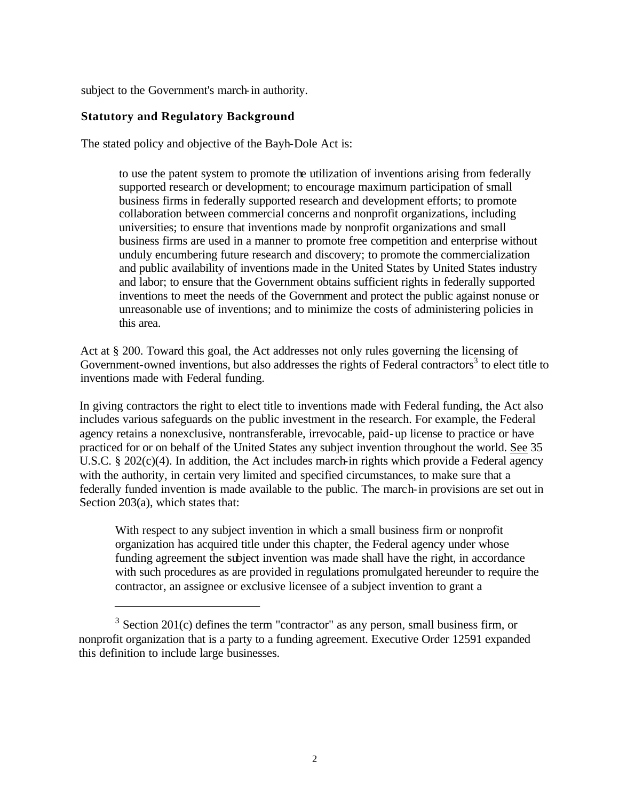subject to the Government's march-in authority.

#### **Statutory and Regulatory Background**

The stated policy and objective of the Bayh-Dole Act is:

to use the patent system to promote the utilization of inventions arising from federally supported research or development; to encourage maximum participation of small business firms in federally supported research and development efforts; to promote collaboration between commercial concerns and nonprofit organizations, including universities; to ensure that inventions made by nonprofit organizations and small business firms are used in a manner to promote free competition and enterprise without unduly encumbering future research and discovery; to promote the commercialization and public availability of inventions made in the United States by United States industry and labor; to ensure that the Government obtains sufficient rights in federally supported inventions to meet the needs of the Government and protect the public against nonuse or unreasonable use of inventions; and to minimize the costs of administering policies in this area.

Act at § 200. Toward this goal, the Act addresses not only rules governing the licensing of Government-owned inventions, but also addresses the rights of Federal contractors<sup>3</sup> to elect title to inventions made with Federal funding.

In giving contractors the right to elect title to inventions made with Federal funding, the Act also includes various safeguards on the public investment in the research. For example, the Federal agency retains a nonexclusive, nontransferable, irrevocable, paid-up license to practice or have practiced for or on behalf of the United States any subject invention throughout the world. See 35 U.S.C. § 202(c)(4). In addition, the Act includes march-in rights which provide a Federal agency with the authority, in certain very limited and specified circumstances, to make sure that a federally funded invention is made available to the public. The march-in provisions are set out in Section 203(a), which states that:

With respect to any subject invention in which a small business firm or nonprofit organization has acquired title under this chapter, the Federal agency under whose funding agreement the subject invention was made shall have the right, in accordance with such procedures as are provided in regulations promulgated hereunder to require the contractor, an assignee or exclusive licensee of a subject invention to grant a

 $3$  Section 201(c) defines the term "contractor" as any person, small business firm, or nonprofit organization that is a party to a funding agreement. Executive Order 12591 expanded this definition to include large businesses.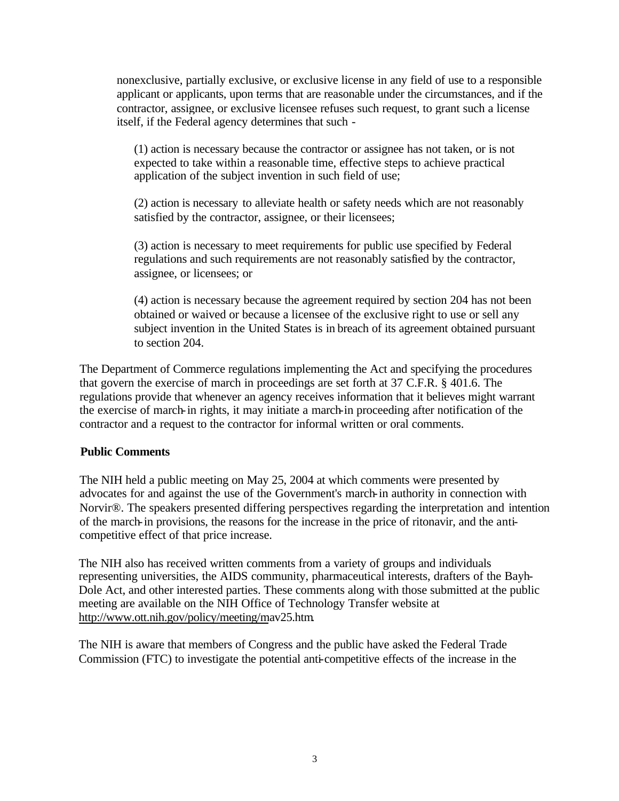nonexclusive, partially exclusive, or exclusive license in any field of use to a responsible applicant or applicants, upon terms that are reasonable under the circumstances, and if the contractor, assignee, or exclusive licensee refuses such request, to grant such a license itself, if the Federal agency determines that such -

(1) action is necessary because the contractor or assignee has not taken, or is not expected to take within a reasonable time, effective steps to achieve practical application of the subject invention in such field of use;

(2) action is necessary to alleviate health or safety needs which are not reasonably satisfied by the contractor, assignee, or their licensees;

(3) action is necessary to meet requirements for public use specified by Federal regulations and such requirements are not reasonably satisfied by the contractor, assignee, or licensees; or

(4) action is necessary because the agreement required by section 204 has not been obtained or waived or because a licensee of the exclusive right to use or sell any subject invention in the United States is in breach of its agreement obtained pursuant to section 204.

The Department of Commerce regulations implementing the Act and specifying the procedures that govern the exercise of march in proceedings are set forth at 37 C.F.R. § 401.6. The regulations provide that whenever an agency receives information that it believes might warrant the exercise of march-in rights, it may initiate a march-in proceeding after notification of the contractor and a request to the contractor for informal written or oral comments.

#### **Public Comments**

The NIH held a public meeting on May 25, 2004 at which comments were presented by advocates for and against the use of the Government's march-in authority in connection with Norvir®. The speakers presented differing perspectives regarding the interpretation and intention of the march-in provisions, the reasons for the increase in the price of ritonavir, and the anticompetitive effect of that price increase.

The NIH also has received written comments from a variety of groups and individuals representing universities, the AIDS community, pharmaceutical interests, drafters of the Bayh-Dole Act, and other interested parties. These comments along with those submitted at the public meeting are available on the NIH Office of Technology Transfer website at http://www.[ott.nih.gov/](http://www.ott.nih.gov/policy/meeting/May25.htm)policy/meeting/mav25.htm.

The NIH is aware that members of Congress and the public have asked the Federal Trade Commission (FTC) to investigate the potential anti-competitive effects of the increase in the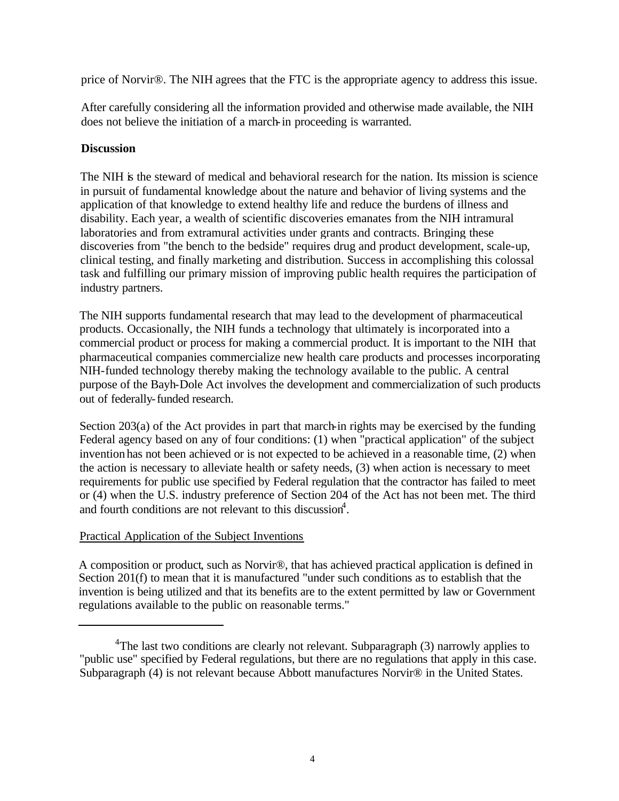price of Norvir®. The NIH agrees that the FTC is the appropriate agency to address this issue.

After carefully considering all the information provided and otherwise made available, the NIH does not believe the initiation of a march-in proceeding is warranted.

#### **Discussion**

The NIH is the steward of medical and behavioral research for the nation. Its mission is science in pursuit of fundamental knowledge about the nature and behavior of living systems and the application of that knowledge to extend healthy life and reduce the burdens of illness and disability. Each year, a wealth of scientific discoveries emanates from the NIH intramural laboratories and from extramural activities under grants and contracts. Bringing these discoveries from "the bench to the bedside" requires drug and product development, scale-up, clinical testing, and finally marketing and distribution. Success in accomplishing this colossal task and fulfilling our primary mission of improving public health requires the participation of industry partners.

The NIH supports fundamental research that may lead to the development of pharmaceutical products. Occasionally, the NIH funds a technology that ultimately is incorporated into a commercial product or process for making a commercial product. It is important to the NIH that pharmaceutical companies commercialize new health care products and processes incorporating NIH-funded technology thereby making the technology available to the public. A central purpose of the Bayh-Dole Act involves the development and commercialization of such products out of federally-funded research.

Section 203(a) of the Act provides in part that march-in rights may be exercised by the funding Federal agency based on any of four conditions: (1) when "practical application" of the subject invention has not been achieved or is not expected to be achieved in a reasonable time, (2) when the action is necessary to alleviate health or safety needs, (3) when action is necessary to meet requirements for public use specified by Federal regulation that the contractor has failed to meet or (4) when the U.S. industry preference of Section 204 of the Act has not been met. The third and fourth conditions are not relevant to this discussion<sup>4</sup>.

#### Practical Application of the Subject Inventions

A composition or product, such as Norvir®, that has achieved practical application is defined in Section 201(f) to mean that it is manufactured "under such conditions as to establish that the invention is being utilized and that its benefits are to the extent permitted by law or Government regulations available to the public on reasonable terms."

<sup>&</sup>lt;sup>4</sup>The last two conditions are clearly not relevant. Subparagraph  $(3)$  narrowly applies to "public use" specified by Federal regulations, but there are no regulations that apply in this case. Subparagraph (4) is not relevant because Abbott manufactures Norvir® in the United States.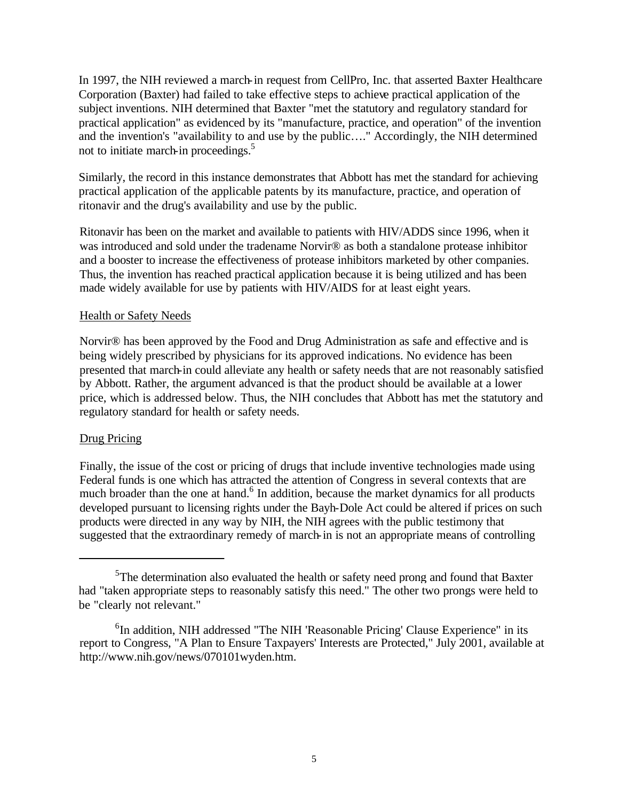In 1997, the NIH reviewed a march-in request from CellPro, Inc. that asserted Baxter Healthcare Corporation (Baxter) had failed to take effective steps to achieve practical application of the subject inventions. NIH determined that Baxter "met the statutory and regulatory standard for practical application" as evidenced by its "manufacture, practice, and operation" of the invention and the invention's "availability to and use by the public…." Accordingly, the NIH determined not to initiate march-in proceedings.<sup>5</sup>

Similarly, the record in this instance demonstrates that Abbott has met the standard for achieving practical application of the applicable patents by its manufacture, practice, and operation of ritonavir and the drug's availability and use by the public.

Ritonavir has been on the market and available to patients with HIV/ADDS since 1996, when it was introduced and sold under the tradename Norvir<sup>®</sup> as both a standalone protease inhibitor and a booster to increase the effectiveness of protease inhibitors marketed by other companies. Thus, the invention has reached practical application because it is being utilized and has been made widely available for use by patients with HIV/AIDS for at least eight years.

#### Health or Safety Needs

Norvir® has been approved by the Food and Drug Administration as safe and effective and is being widely prescribed by physicians for its approved indications. No evidence has been presented that march-in could alleviate any health or safety needs that are not reasonably satisfied by Abbott. Rather, the argument advanced is that the product should be available at a lower price, which is addressed below. Thus, the NIH concludes that Abbott has met the statutory and regulatory standard for health or safety needs.

#### Drug Pricing

Finally, the issue of the cost or pricing of drugs that include inventive technologies made using Federal funds is one which has attracted the attention of Congress in several contexts that are much broader than the one at hand.<sup>6</sup> In addition, because the market dynamics for all products developed pursuant to licensing rights under the Bayh-Dole Act could be altered if prices on such products were directed in any way by NIH, the NIH agrees with the public testimony that suggested that the extraordinary remedy of march-in is not an appropriate means of controlling

<sup>&</sup>lt;sup>5</sup>The determination also evaluated the health or safety need prong and found that Baxter had "taken appropriate steps to reasonably satisfy this need." The other two prongs were held to be "clearly not relevant."

<sup>&</sup>lt;sup>6</sup>In addition, NIH addressed "The NIH 'Reasonable Pricing' Clause Experience" in its report to Congress, "A Plan to Ensure Taxpayers' Interests are Protected," July 2001, available at http://www.nih.gov/news/070101wyden.htm.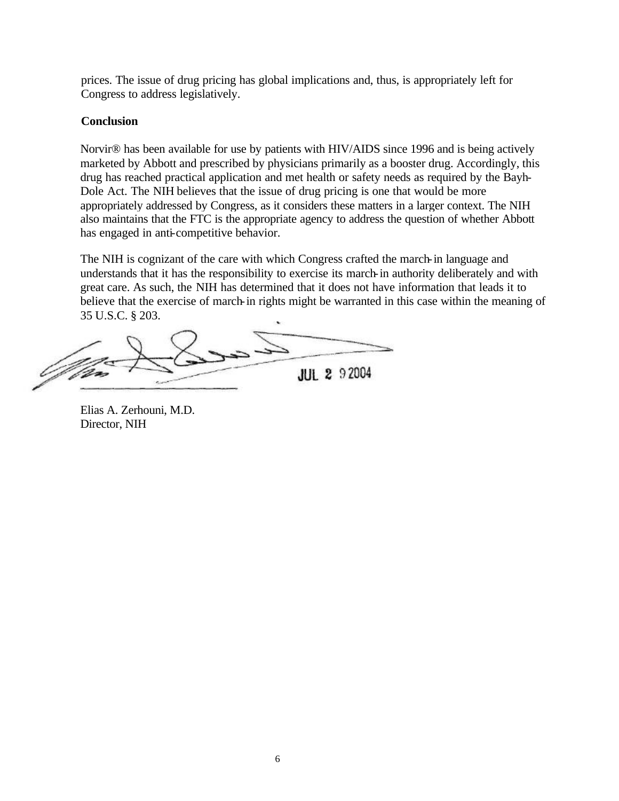prices. The issue of drug pricing has global implications and, thus, is appropriately left for Congress to address legislatively.

#### **Conclusion**

Norvir® has been available for use by patients with HIV/AIDS since 1996 and is being actively marketed by Abbott and prescribed by physicians primarily as a booster drug. Accordingly, this drug has reached practical application and met health or safety needs as required by the Bayh-Dole Act. The NIH believes that the issue of drug pricing is one that would be more appropriately addressed by Congress, as it considers these matters in a larger context. The NIH also maintains that the FTC is the appropriate agency to address the question of whether Abbott has engaged in anti-competitive behavior.

The NIH is cognizant of the care with which Congress crafted the march-in language and understands that it has the responsibility to exercise its march-in authority deliberately and with great care. As such, the NIH has determined that it does not have information that leads it to believe that the exercise of march-in rights might be warranted in this case within the meaning of 35 U.S.C. § 203.

**JUL 2 92004** 

Elias A. Zerhouni, M.D. Director, NIH